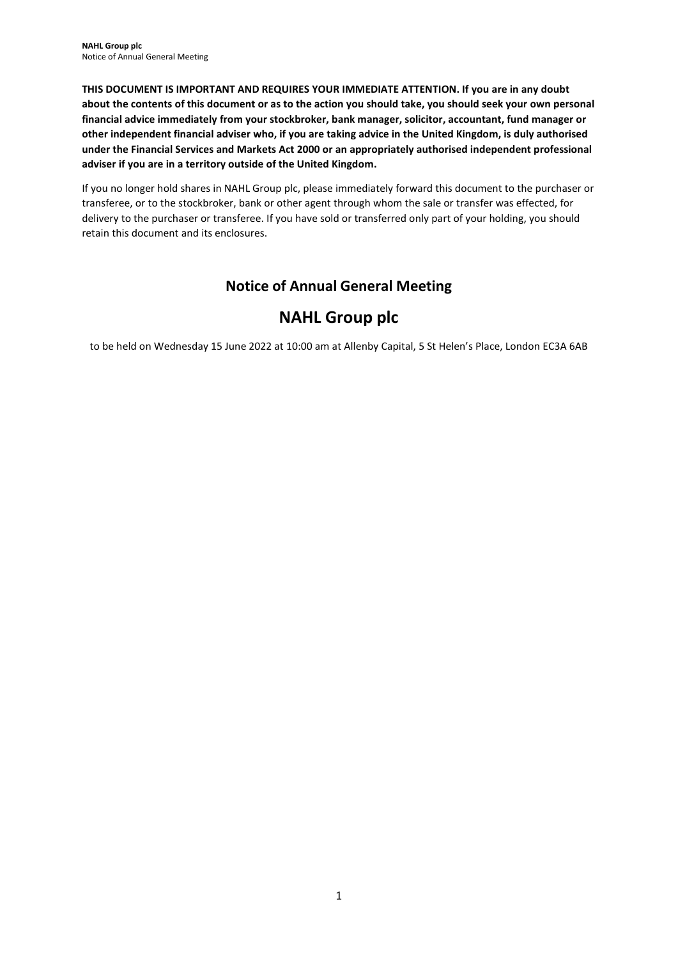THIS DOCUMENT IS IMPORTANT AND REQUIRES YOUR IMMEDIATE ATTENTION. If you are in any doubt about the contents of this document or as to the action you should take, you should seek your own personal financial advice immediately from your stockbroker, bank manager, solicitor, accountant, fund manager or other independent financial adviser who, if you are taking advice in the United Kingdom, is duly authorised under the Financial Services and Markets Act 2000 or an appropriately authorised independent professional adviser if you are in a territory outside of the United Kingdom.

If you no longer hold shares in NAHL Group plc, please immediately forward this document to the purchaser or transferee, or to the stockbroker, bank or other agent through whom the sale or transfer was effected, for delivery to the purchaser or transferee. If you have sold or transferred only part of your holding, you should retain this document and its enclosures.

## Notice of Annual General Meeting

# NAHL Group plc

to be held on Wednesday 15 June 2022 at 10:00 am at Allenby Capital, 5 St Helen's Place, London EC3A 6AB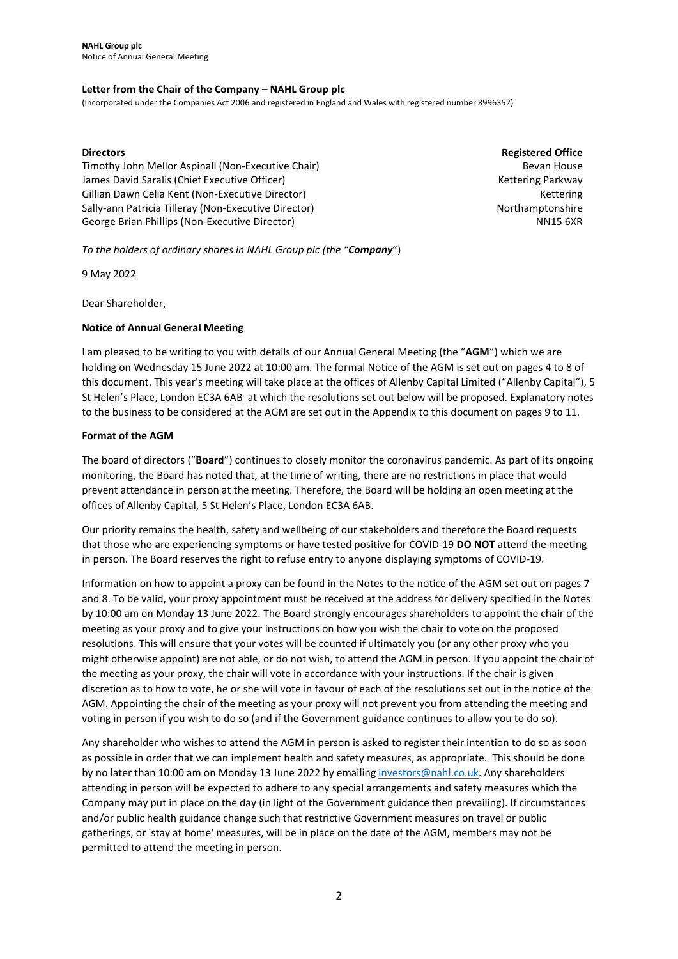### Letter from the Chair of the Company – NAHL Group plc

(Incorporated under the Companies Act 2006 and registered in England and Wales with registered number 8996352)

### **Directors**

Timothy John Mellor Aspinall (Non-Executive Chair) James David Saralis (Chief Executive Officer) Gillian Dawn Celia Kent (Non-Executive Director) Sally-ann Patricia Tilleray (Non-Executive Director) George Brian Phillips (Non-Executive Director)

Registered Office Bevan House Kettering Parkway Kettering Northamptonshire NN15 6XR

To the holders of ordinary shares in NAHL Group plc (the "Company")

9 May 2022

Dear Shareholder,

### Notice of Annual General Meeting

I am pleased to be writing to you with details of our Annual General Meeting (the "AGM") which we are holding on Wednesday 15 June 2022 at 10:00 am. The formal Notice of the AGM is set out on pages 4 to 8 of this document. This year's meeting will take place at the offices of Allenby Capital Limited ("Allenby Capital"), 5 St Helen's Place, London EC3A 6AB at which the resolutions set out below will be proposed. Explanatory notes to the business to be considered at the AGM are set out in the Appendix to this document on pages 9 to 11.

### Format of the AGM

The board of directors ("Board") continues to closely monitor the coronavirus pandemic. As part of its ongoing monitoring, the Board has noted that, at the time of writing, there are no restrictions in place that would prevent attendance in person at the meeting. Therefore, the Board will be holding an open meeting at the offices of Allenby Capital, 5 St Helen's Place, London EC3A 6AB.

Our priority remains the health, safety and wellbeing of our stakeholders and therefore the Board requests that those who are experiencing symptoms or have tested positive for COVID-19 DO NOT attend the meeting in person. The Board reserves the right to refuse entry to anyone displaying symptoms of COVID-19.

Information on how to appoint a proxy can be found in the Notes to the notice of the AGM set out on pages 7 and 8. To be valid, your proxy appointment must be received at the address for delivery specified in the Notes by 10:00 am on Monday 13 June 2022. The Board strongly encourages shareholders to appoint the chair of the meeting as your proxy and to give your instructions on how you wish the chair to vote on the proposed resolutions. This will ensure that your votes will be counted if ultimately you (or any other proxy who you might otherwise appoint) are not able, or do not wish, to attend the AGM in person. If you appoint the chair of the meeting as your proxy, the chair will vote in accordance with your instructions. If the chair is given discretion as to how to vote, he or she will vote in favour of each of the resolutions set out in the notice of the AGM. Appointing the chair of the meeting as your proxy will not prevent you from attending the meeting and voting in person if you wish to do so (and if the Government guidance continues to allow you to do so).

Any shareholder who wishes to attend the AGM in person is asked to register their intention to do so as soon as possible in order that we can implement health and safety measures, as appropriate. This should be done by no later than 10:00 am on Monday 13 June 2022 by emailing investors@nahl.co.uk. Any shareholders attending in person will be expected to adhere to any special arrangements and safety measures which the Company may put in place on the day (in light of the Government guidance then prevailing). If circumstances and/or public health guidance change such that restrictive Government measures on travel or public gatherings, or 'stay at home' measures, will be in place on the date of the AGM, members may not be permitted to attend the meeting in person.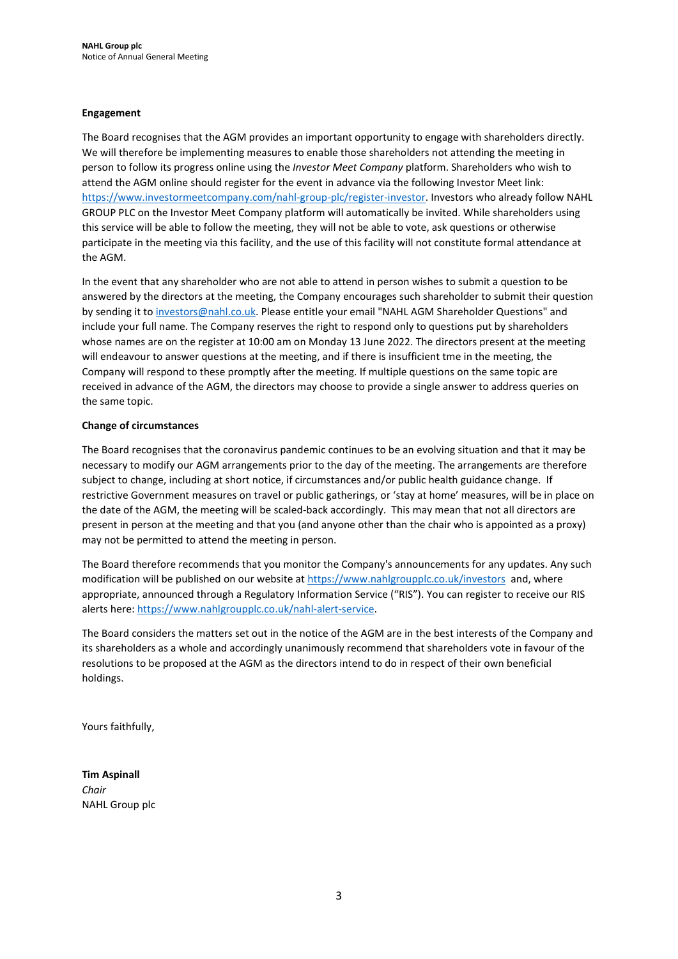### Engagement

The Board recognises that the AGM provides an important opportunity to engage with shareholders directly. We will therefore be implementing measures to enable those shareholders not attending the meeting in person to follow its progress online using the Investor Meet Company platform. Shareholders who wish to attend the AGM online should register for the event in advance via the following Investor Meet link: https://www.investormeetcompany.com/nahl-group-plc/register-investor. Investors who already follow NAHL GROUP PLC on the Investor Meet Company platform will automatically be invited. While shareholders using this service will be able to follow the meeting, they will not be able to vote, ask questions or otherwise participate in the meeting via this facility, and the use of this facility will not constitute formal attendance at the AGM.

In the event that any shareholder who are not able to attend in person wishes to submit a question to be answered by the directors at the meeting, the Company encourages such shareholder to submit their question by sending it to investors@nahl.co.uk. Please entitle your email "NAHL AGM Shareholder Questions" and include your full name. The Company reserves the right to respond only to questions put by shareholders whose names are on the register at 10:00 am on Monday 13 June 2022. The directors present at the meeting will endeavour to answer questions at the meeting, and if there is insufficient tme in the meeting, the Company will respond to these promptly after the meeting. If multiple questions on the same topic are received in advance of the AGM, the directors may choose to provide a single answer to address queries on the same topic.

### Change of circumstances

The Board recognises that the coronavirus pandemic continues to be an evolving situation and that it may be necessary to modify our AGM arrangements prior to the day of the meeting. The arrangements are therefore subject to change, including at short notice, if circumstances and/or public health guidance change. If restrictive Government measures on travel or public gatherings, or 'stay at home' measures, will be in place on the date of the AGM, the meeting will be scaled-back accordingly. This may mean that not all directors are present in person at the meeting and that you (and anyone other than the chair who is appointed as a proxy) may not be permitted to attend the meeting in person.

The Board therefore recommends that you monitor the Company's announcements for any updates. Any such modification will be published on our website at https://www.nahlgroupplc.co.uk/investors and, where appropriate, announced through a Regulatory Information Service ("RIS"). You can register to receive our RIS alerts here: https://www.nahlgroupplc.co.uk/nahl-alert-service.

The Board considers the matters set out in the notice of the AGM are in the best interests of the Company and its shareholders as a whole and accordingly unanimously recommend that shareholders vote in favour of the resolutions to be proposed at the AGM as the directors intend to do in respect of their own beneficial holdings.

Yours faithfully,

Tim Aspinall Chair NAHL Group plc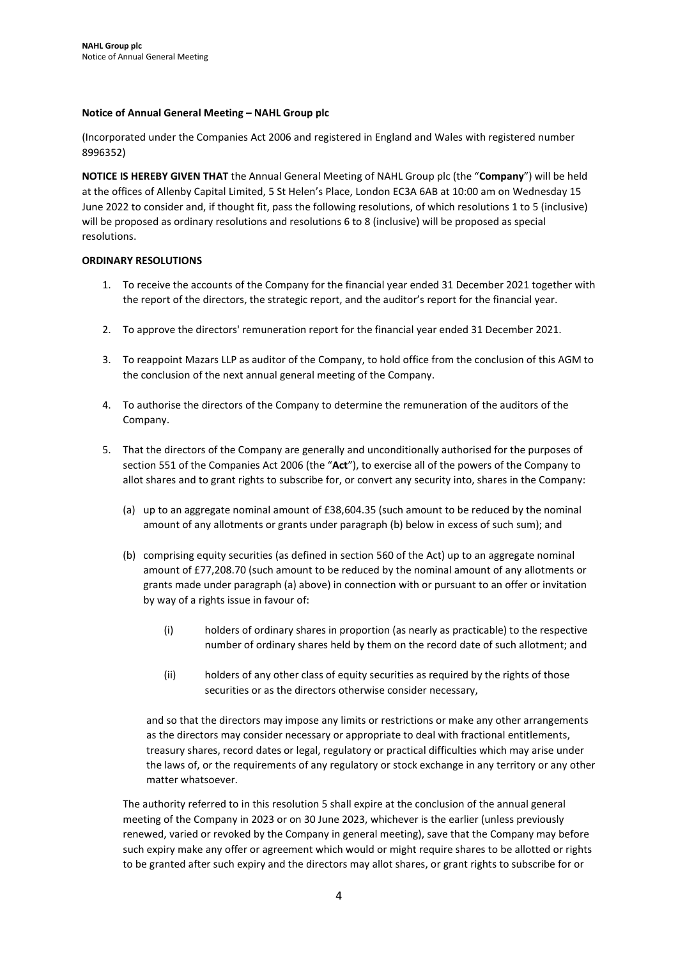### Notice of Annual General Meeting – NAHL Group plc

(Incorporated under the Companies Act 2006 and registered in England and Wales with registered number 8996352)

NOTICE IS HEREBY GIVEN THAT the Annual General Meeting of NAHL Group plc (the "Company") will be held at the offices of Allenby Capital Limited, 5 St Helen's Place, London EC3A 6AB at 10:00 am on Wednesday 15 June 2022 to consider and, if thought fit, pass the following resolutions, of which resolutions 1 to 5 (inclusive) will be proposed as ordinary resolutions and resolutions 6 to 8 (inclusive) will be proposed as special resolutions.

### ORDINARY RESOLUTIONS

- 1. To receive the accounts of the Company for the financial year ended 31 December 2021 together with the report of the directors, the strategic report, and the auditor's report for the financial year.
- 2. To approve the directors' remuneration report for the financial year ended 31 December 2021.
- 3. To reappoint Mazars LLP as auditor of the Company, to hold office from the conclusion of this AGM to the conclusion of the next annual general meeting of the Company.
- 4. To authorise the directors of the Company to determine the remuneration of the auditors of the Company.
- 5. That the directors of the Company are generally and unconditionally authorised for the purposes of section 551 of the Companies Act 2006 (the "Act"), to exercise all of the powers of the Company to allot shares and to grant rights to subscribe for, or convert any security into, shares in the Company:
	- (a) up to an aggregate nominal amount of £38,604.35 (such amount to be reduced by the nominal amount of any allotments or grants under paragraph (b) below in excess of such sum); and
	- (b) comprising equity securities (as defined in section 560 of the Act) up to an aggregate nominal amount of £77,208.70 (such amount to be reduced by the nominal amount of any allotments or grants made under paragraph (a) above) in connection with or pursuant to an offer or invitation by way of a rights issue in favour of:
		- (i) holders of ordinary shares in proportion (as nearly as practicable) to the respective number of ordinary shares held by them on the record date of such allotment; and
		- (ii) holders of any other class of equity securities as required by the rights of those securities or as the directors otherwise consider necessary,

and so that the directors may impose any limits or restrictions or make any other arrangements as the directors may consider necessary or appropriate to deal with fractional entitlements, treasury shares, record dates or legal, regulatory or practical difficulties which may arise under the laws of, or the requirements of any regulatory or stock exchange in any territory or any other matter whatsoever.

The authority referred to in this resolution 5 shall expire at the conclusion of the annual general meeting of the Company in 2023 or on 30 June 2023, whichever is the earlier (unless previously renewed, varied or revoked by the Company in general meeting), save that the Company may before such expiry make any offer or agreement which would or might require shares to be allotted or rights to be granted after such expiry and the directors may allot shares, or grant rights to subscribe for or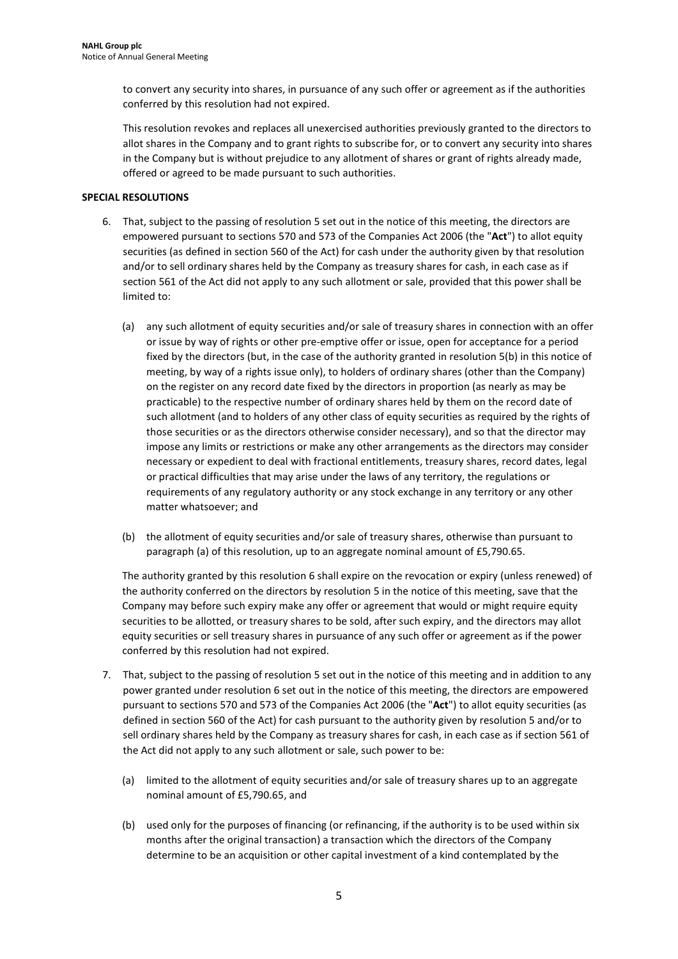to convert any security into shares, in pursuance of any such offer or agreement as if the authorities conferred by this resolution had not expired.

This resolution revokes and replaces all unexercised authorities previously granted to the directors to allot shares in the Company and to grant rights to subscribe for, or to convert any security into shares in the Company but is without prejudice to any allotment of shares or grant of rights already made, offered or agreed to be made pursuant to such authorities.

### SPECIAL RESOLUTIONS

- 6. That, subject to the passing of resolution 5 set out in the notice of this meeting, the directors are empowered pursuant to sections 570 and 573 of the Companies Act 2006 (the "Act") to allot equity securities (as defined in section 560 of the Act) for cash under the authority given by that resolution and/or to sell ordinary shares held by the Company as treasury shares for cash, in each case as if section 561 of the Act did not apply to any such allotment or sale, provided that this power shall be limited to:
	- (a) any such allotment of equity securities and/or sale of treasury shares in connection with an offer or issue by way of rights or other pre-emptive offer or issue, open for acceptance for a period fixed by the directors (but, in the case of the authority granted in resolution 5(b) in this notice of meeting, by way of a rights issue only), to holders of ordinary shares (other than the Company) on the register on any record date fixed by the directors in proportion (as nearly as may be practicable) to the respective number of ordinary shares held by them on the record date of such allotment (and to holders of any other class of equity securities as required by the rights of those securities or as the directors otherwise consider necessary), and so that the director may impose any limits or restrictions or make any other arrangements as the directors may consider necessary or expedient to deal with fractional entitlements, treasury shares, record dates, legal or practical difficulties that may arise under the laws of any territory, the regulations or requirements of any regulatory authority or any stock exchange in any territory or any other matter whatsoever; and
	- (b) the allotment of equity securities and/or sale of treasury shares, otherwise than pursuant to paragraph (a) of this resolution, up to an aggregate nominal amount of £5,790.65.

The authority granted by this resolution 6 shall expire on the revocation or expiry (unless renewed) of the authority conferred on the directors by resolution 5 in the notice of this meeting, save that the Company may before such expiry make any offer or agreement that would or might require equity securities to be allotted, or treasury shares to be sold, after such expiry, and the directors may allot equity securities or sell treasury shares in pursuance of any such offer or agreement as if the power conferred by this resolution had not expired.

- 7. That, subject to the passing of resolution 5 set out in the notice of this meeting and in addition to any power granted under resolution 6 set out in the notice of this meeting, the directors are empowered pursuant to sections 570 and 573 of the Companies Act 2006 (the "Act") to allot equity securities (as defined in section 560 of the Act) for cash pursuant to the authority given by resolution 5 and/or to sell ordinary shares held by the Company as treasury shares for cash, in each case as if section 561 of the Act did not apply to any such allotment or sale, such power to be:
	- (a) limited to the allotment of equity securities and/or sale of treasury shares up to an aggregate nominal amount of £5,790.65, and
	- (b) used only for the purposes of financing (or refinancing, if the authority is to be used within six months after the original transaction) a transaction which the directors of the Company determine to be an acquisition or other capital investment of a kind contemplated by the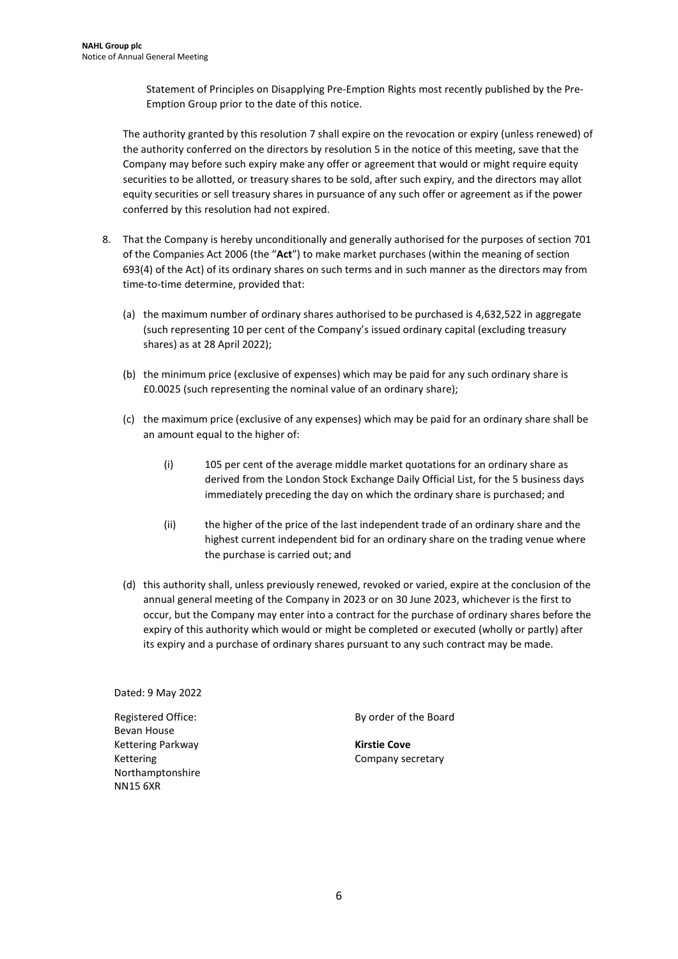Statement of Principles on Disapplying Pre-Emption Rights most recently published by the Pre-Emption Group prior to the date of this notice.

The authority granted by this resolution 7 shall expire on the revocation or expiry (unless renewed) of the authority conferred on the directors by resolution 5 in the notice of this meeting, save that the Company may before such expiry make any offer or agreement that would or might require equity securities to be allotted, or treasury shares to be sold, after such expiry, and the directors may allot equity securities or sell treasury shares in pursuance of any such offer or agreement as if the power conferred by this resolution had not expired.

- 8. That the Company is hereby unconditionally and generally authorised for the purposes of section 701 of the Companies Act 2006 (the "Act") to make market purchases (within the meaning of section 693(4) of the Act) of its ordinary shares on such terms and in such manner as the directors may from time-to-time determine, provided that:
	- (a) the maximum number of ordinary shares authorised to be purchased is 4,632,522 in aggregate (such representing 10 per cent of the Company's issued ordinary capital (excluding treasury shares) as at 28 April 2022);
	- (b) the minimum price (exclusive of expenses) which may be paid for any such ordinary share is £0.0025 (such representing the nominal value of an ordinary share);
	- (c) the maximum price (exclusive of any expenses) which may be paid for an ordinary share shall be an amount equal to the higher of:
		- (i) 105 per cent of the average middle market quotations for an ordinary share as derived from the London Stock Exchange Daily Official List, for the 5 business days immediately preceding the day on which the ordinary share is purchased; and
		- (ii) the higher of the price of the last independent trade of an ordinary share and the highest current independent bid for an ordinary share on the trading venue where the purchase is carried out; and
	- (d) this authority shall, unless previously renewed, revoked or varied, expire at the conclusion of the annual general meeting of the Company in 2023 or on 30 June 2023, whichever is the first to occur, but the Company may enter into a contract for the purchase of ordinary shares before the expiry of this authority which would or might be completed or executed (wholly or partly) after its expiry and a purchase of ordinary shares pursuant to any such contract may be made.

Dated: 9 May 2022

Registered Office: Bevan House Kettering Parkway Kettering Northamptonshire NN15 6XR

By order of the Board

Kirstie Cove Company secretary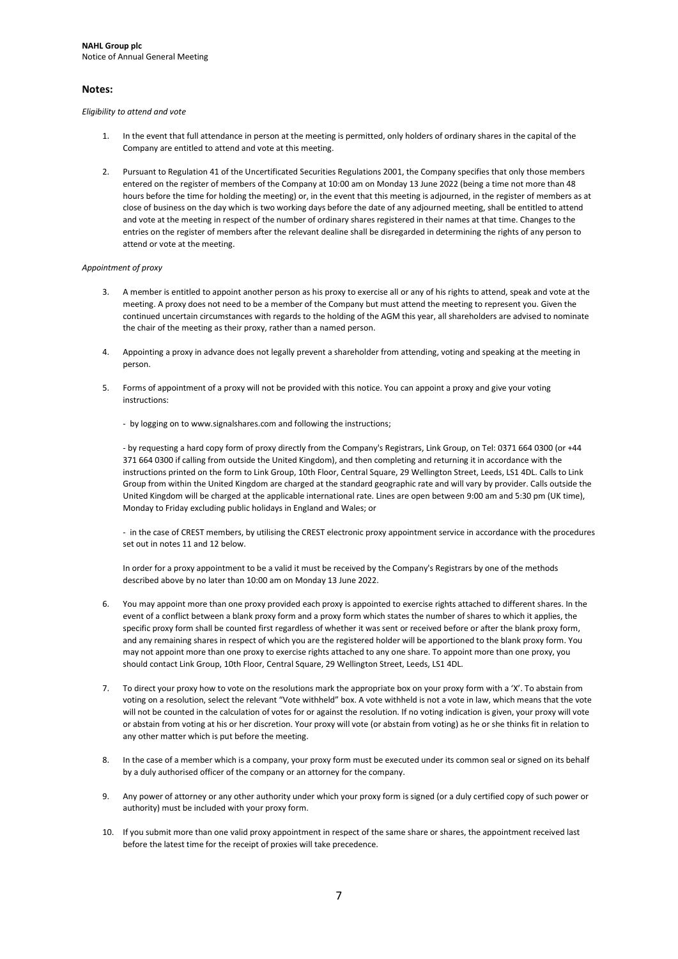#### Notes:

Eligibility to attend and vote

- 1. In the event that full attendance in person at the meeting is permitted, only holders of ordinary shares in the capital of the Company are entitled to attend and vote at this meeting.
- 2. Pursuant to Regulation 41 of the Uncertificated Securities Regulations 2001, the Company specifies that only those members entered on the register of members of the Company at 10:00 am on Monday 13 June 2022 (being a time not more than 48 hours before the time for holding the meeting) or, in the event that this meeting is adjourned, in the register of members as at close of business on the day which is two working days before the date of any adjourned meeting, shall be entitled to attend and vote at the meeting in respect of the number of ordinary shares registered in their names at that time. Changes to the entries on the register of members after the relevant dealine shall be disregarded in determining the rights of any person to attend or vote at the meeting.

#### Appointment of proxy

- 3. A member is entitled to appoint another person as his proxy to exercise all or any of his rights to attend, speak and vote at the meeting. A proxy does not need to be a member of the Company but must attend the meeting to represent you. Given the continued uncertain circumstances with regards to the holding of the AGM this year, all shareholders are advised to nominate the chair of the meeting as their proxy, rather than a named person.
- 4. Appointing a proxy in advance does not legally prevent a shareholder from attending, voting and speaking at the meeting in person.
- 5. Forms of appointment of a proxy will not be provided with this notice. You can appoint a proxy and give your voting instructions:
	- by logging on to www.signalshares.com and following the instructions;

- by requesting a hard copy form of proxy directly from the Company's Registrars, Link Group, on Tel: 0371 664 0300 (or +44 371 664 0300 if calling from outside the United Kingdom), and then completing and returning it in accordance with the instructions printed on the form to Link Group, 10th Floor, Central Square, 29 Wellington Street, Leeds, LS1 4DL. Calls to Link Group from within the United Kingdom are charged at the standard geographic rate and will vary by provider. Calls outside the United Kingdom will be charged at the applicable international rate. Lines are open between 9:00 am and 5:30 pm (UK time), Monday to Friday excluding public holidays in England and Wales; or

- in the case of CREST members, by utilising the CREST electronic proxy appointment service in accordance with the procedures set out in notes 11 and 12 below.

In order for a proxy appointment to be a valid it must be received by the Company's Registrars by one of the methods described above by no later than 10:00 am on Monday 13 June 2022.

- 6. You may appoint more than one proxy provided each proxy is appointed to exercise rights attached to different shares. In the event of a conflict between a blank proxy form and a proxy form which states the number of shares to which it applies, the specific proxy form shall be counted first regardless of whether it was sent or received before or after the blank proxy form, and any remaining shares in respect of which you are the registered holder will be apportioned to the blank proxy form. You may not appoint more than one proxy to exercise rights attached to any one share. To appoint more than one proxy, you should contact Link Group, 10th Floor, Central Square, 29 Wellington Street, Leeds, LS1 4DL.
- 7. To direct your proxy how to vote on the resolutions mark the appropriate box on your proxy form with a 'X'. To abstain from voting on a resolution, select the relevant "Vote withheld" box. A vote withheld is not a vote in law, which means that the vote will not be counted in the calculation of votes for or against the resolution. If no voting indication is given, your proxy will vote or abstain from voting at his or her discretion. Your proxy will vote (or abstain from voting) as he or she thinks fit in relation to any other matter which is put before the meeting.
- 8. In the case of a member which is a company, your proxy form must be executed under its common seal or signed on its behalf by a duly authorised officer of the company or an attorney for the company.
- 9. Any power of attorney or any other authority under which your proxy form is signed (or a duly certified copy of such power or authority) must be included with your proxy form.
- 10. If you submit more than one valid proxy appointment in respect of the same share or shares, the appointment received last before the latest time for the receipt of proxies will take precedence.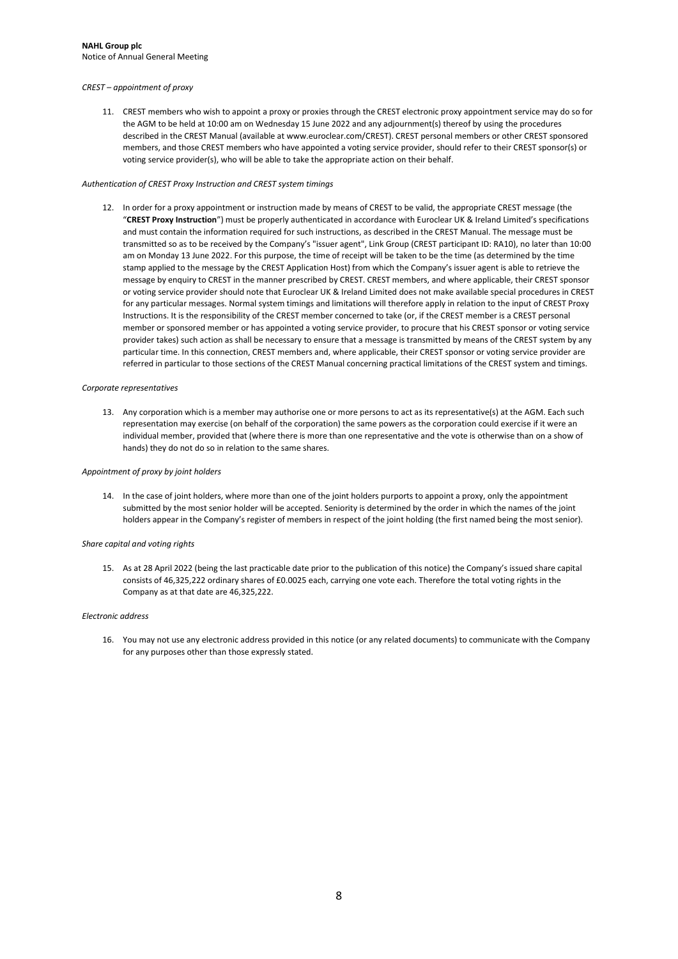#### CREST – appointment of proxy

11. CREST members who wish to appoint a proxy or proxies through the CREST electronic proxy appointment service may do so for the AGM to be held at 10:00 am on Wednesday 15 June 2022 and any adjournment(s) thereof by using the procedures described in the CREST Manual (available at www.euroclear.com/CREST). CREST personal members or other CREST sponsored members, and those CREST members who have appointed a voting service provider, should refer to their CREST sponsor(s) or voting service provider(s), who will be able to take the appropriate action on their behalf.

#### Authentication of CREST Proxy Instruction and CREST system timings

12. In order for a proxy appointment or instruction made by means of CREST to be valid, the appropriate CREST message (the "CREST Proxy Instruction") must be properly authenticated in accordance with Euroclear UK & Ireland Limited's specifications and must contain the information required for such instructions, as described in the CREST Manual. The message must be transmitted so as to be received by the Company's "issuer agent", Link Group (CREST participant ID: RA10), no later than 10:00 am on Monday 13 June 2022. For this purpose, the time of receipt will be taken to be the time (as determined by the time stamp applied to the message by the CREST Application Host) from which the Company's issuer agent is able to retrieve the message by enquiry to CREST in the manner prescribed by CREST. CREST members, and where applicable, their CREST sponsor or voting service provider should note that Euroclear UK & Ireland Limited does not make available special procedures in CREST for any particular messages. Normal system timings and limitations will therefore apply in relation to the input of CREST Proxy Instructions. It is the responsibility of the CREST member concerned to take (or, if the CREST member is a CREST personal member or sponsored member or has appointed a voting service provider, to procure that his CREST sponsor or voting service provider takes) such action as shall be necessary to ensure that a message is transmitted by means of the CREST system by any particular time. In this connection, CREST members and, where applicable, their CREST sponsor or voting service provider are referred in particular to those sections of the CREST Manual concerning practical limitations of the CREST system and timings.

#### Corporate representatives

13. Any corporation which is a member may authorise one or more persons to act as its representative(s) at the AGM. Each such representation may exercise (on behalf of the corporation) the same powers as the corporation could exercise if it were an individual member, provided that (where there is more than one representative and the vote is otherwise than on a show of hands) they do not do so in relation to the same shares.

#### Appointment of proxy by joint holders

14. In the case of joint holders, where more than one of the joint holders purports to appoint a proxy, only the appointment submitted by the most senior holder will be accepted. Seniority is determined by the order in which the names of the joint holders appear in the Company's register of members in respect of the joint holding (the first named being the most senior).

#### Share capital and voting rights

15. As at 28 April 2022 (being the last practicable date prior to the publication of this notice) the Company's issued share capital consists of 46,325,222 ordinary shares of £0.0025 each, carrying one vote each. Therefore the total voting rights in the Company as at that date are 46,325,222.

#### Electronic address

16. You may not use any electronic address provided in this notice (or any related documents) to communicate with the Company for any purposes other than those expressly stated.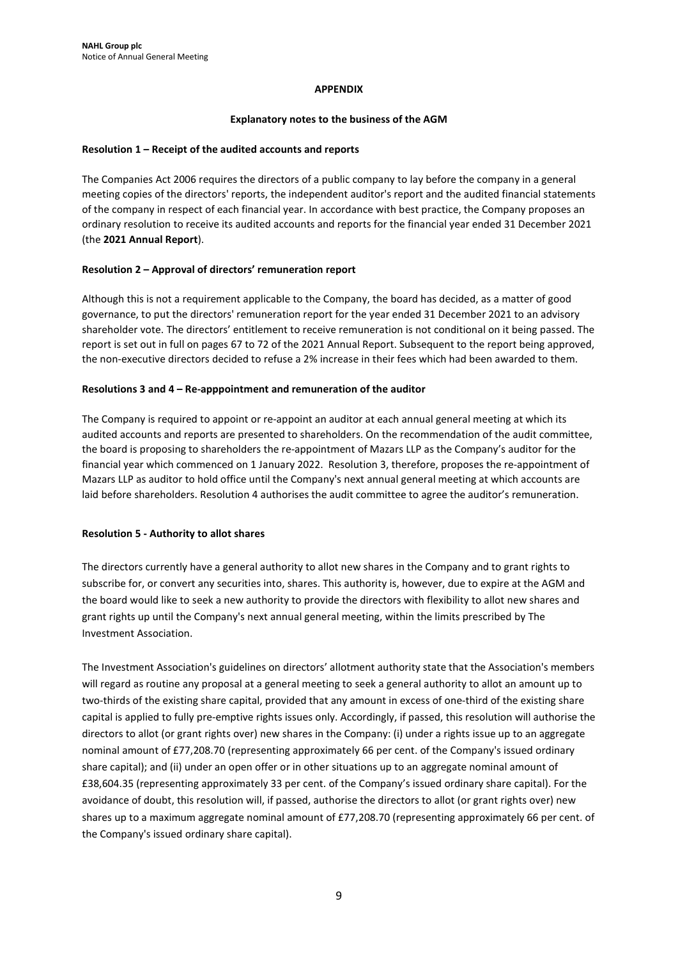### APPENDIX

### Explanatory notes to the business of the AGM

### Resolution 1 – Receipt of the audited accounts and reports

The Companies Act 2006 requires the directors of a public company to lay before the company in a general meeting copies of the directors' reports, the independent auditor's report and the audited financial statements of the company in respect of each financial year. In accordance with best practice, the Company proposes an ordinary resolution to receive its audited accounts and reports for the financial year ended 31 December 2021 (the 2021 Annual Report).

### Resolution 2 – Approval of directors' remuneration report

Although this is not a requirement applicable to the Company, the board has decided, as a matter of good governance, to put the directors' remuneration report for the year ended 31 December 2021 to an advisory shareholder vote. The directors' entitlement to receive remuneration is not conditional on it being passed. The report is set out in full on pages 67 to 72 of the 2021 Annual Report. Subsequent to the report being approved, the non-executive directors decided to refuse a 2% increase in their fees which had been awarded to them.

### Resolutions 3 and 4 – Re-apppointment and remuneration of the auditor

The Company is required to appoint or re-appoint an auditor at each annual general meeting at which its audited accounts and reports are presented to shareholders. On the recommendation of the audit committee, the board is proposing to shareholders the re-appointment of Mazars LLP as the Company's auditor for the financial year which commenced on 1 January 2022. Resolution 3, therefore, proposes the re-appointment of Mazars LLP as auditor to hold office until the Company's next annual general meeting at which accounts are laid before shareholders. Resolution 4 authorises the audit committee to agree the auditor's remuneration.

### Resolution 5 - Authority to allot shares

The directors currently have a general authority to allot new shares in the Company and to grant rights to subscribe for, or convert any securities into, shares. This authority is, however, due to expire at the AGM and the board would like to seek a new authority to provide the directors with flexibility to allot new shares and grant rights up until the Company's next annual general meeting, within the limits prescribed by The Investment Association.

The Investment Association's guidelines on directors' allotment authority state that the Association's members will regard as routine any proposal at a general meeting to seek a general authority to allot an amount up to two-thirds of the existing share capital, provided that any amount in excess of one-third of the existing share capital is applied to fully pre-emptive rights issues only. Accordingly, if passed, this resolution will authorise the directors to allot (or grant rights over) new shares in the Company: (i) under a rights issue up to an aggregate nominal amount of £77,208.70 (representing approximately 66 per cent. of the Company's issued ordinary share capital); and (ii) under an open offer or in other situations up to an aggregate nominal amount of £38,604.35 (representing approximately 33 per cent. of the Company's issued ordinary share capital). For the avoidance of doubt, this resolution will, if passed, authorise the directors to allot (or grant rights over) new shares up to a maximum aggregate nominal amount of £77,208.70 (representing approximately 66 per cent. of the Company's issued ordinary share capital).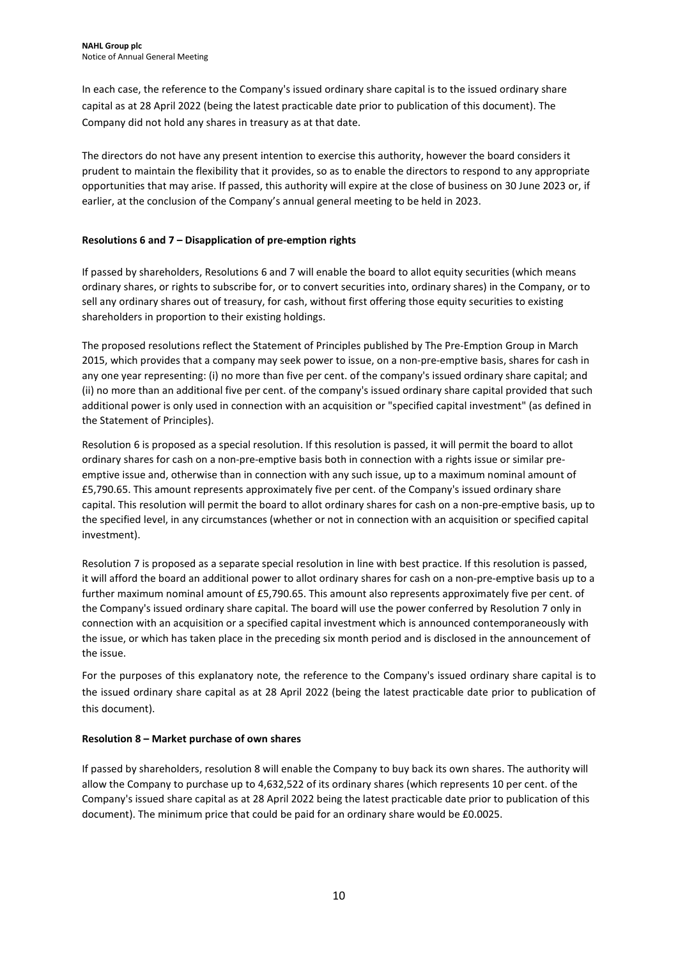In each case, the reference to the Company's issued ordinary share capital is to the issued ordinary share capital as at 28 April 2022 (being the latest practicable date prior to publication of this document). The Company did not hold any shares in treasury as at that date.

The directors do not have any present intention to exercise this authority, however the board considers it prudent to maintain the flexibility that it provides, so as to enable the directors to respond to any appropriate opportunities that may arise. If passed, this authority will expire at the close of business on 30 June 2023 or, if earlier, at the conclusion of the Company's annual general meeting to be held in 2023.

### Resolutions 6 and 7 – Disapplication of pre-emption rights

If passed by shareholders, Resolutions 6 and 7 will enable the board to allot equity securities (which means ordinary shares, or rights to subscribe for, or to convert securities into, ordinary shares) in the Company, or to sell any ordinary shares out of treasury, for cash, without first offering those equity securities to existing shareholders in proportion to their existing holdings.

The proposed resolutions reflect the Statement of Principles published by The Pre-Emption Group in March 2015, which provides that a company may seek power to issue, on a non-pre-emptive basis, shares for cash in any one year representing: (i) no more than five per cent. of the company's issued ordinary share capital; and (ii) no more than an additional five per cent. of the company's issued ordinary share capital provided that such additional power is only used in connection with an acquisition or "specified capital investment" (as defined in the Statement of Principles).

Resolution 6 is proposed as a special resolution. If this resolution is passed, it will permit the board to allot ordinary shares for cash on a non-pre-emptive basis both in connection with a rights issue or similar preemptive issue and, otherwise than in connection with any such issue, up to a maximum nominal amount of £5,790.65. This amount represents approximately five per cent. of the Company's issued ordinary share capital. This resolution will permit the board to allot ordinary shares for cash on a non-pre-emptive basis, up to the specified level, in any circumstances (whether or not in connection with an acquisition or specified capital investment).

Resolution 7 is proposed as a separate special resolution in line with best practice. If this resolution is passed, it will afford the board an additional power to allot ordinary shares for cash on a non-pre-emptive basis up to a further maximum nominal amount of £5,790.65. This amount also represents approximately five per cent. of the Company's issued ordinary share capital. The board will use the power conferred by Resolution 7 only in connection with an acquisition or a specified capital investment which is announced contemporaneously with the issue, or which has taken place in the preceding six month period and is disclosed in the announcement of the issue.

For the purposes of this explanatory note, the reference to the Company's issued ordinary share capital is to the issued ordinary share capital as at 28 April 2022 (being the latest practicable date prior to publication of this document).

### Resolution 8 – Market purchase of own shares

If passed by shareholders, resolution 8 will enable the Company to buy back its own shares. The authority will allow the Company to purchase up to 4,632,522 of its ordinary shares (which represents 10 per cent. of the Company's issued share capital as at 28 April 2022 being the latest practicable date prior to publication of this document). The minimum price that could be paid for an ordinary share would be £0.0025.